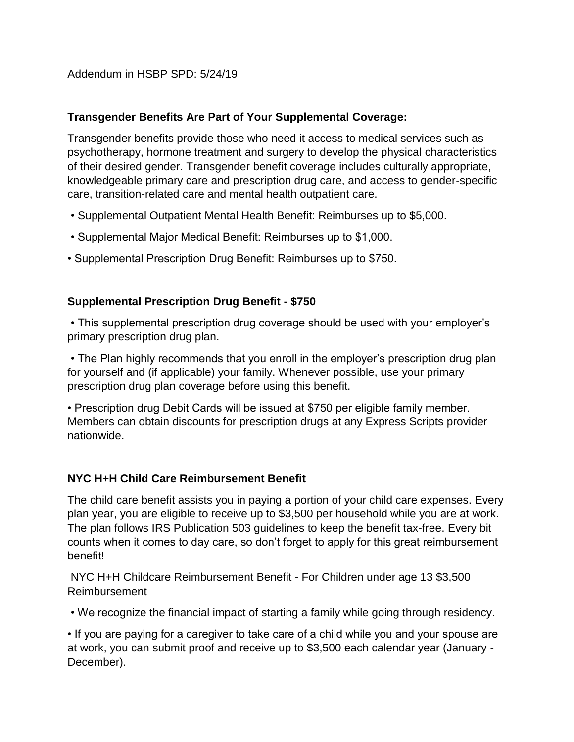Addendum in HSBP SPD: 5/24/19

### **Transgender Benefits Are Part of Your Supplemental Coverage:**

Transgender benefits provide those who need it access to medical services such as psychotherapy, hormone treatment and surgery to develop the physical characteristics of their desired gender. Transgender benefit coverage includes culturally appropriate, knowledgeable primary care and prescription drug care, and access to gender-specific care, transition-related care and mental health outpatient care.

- Supplemental Outpatient Mental Health Benefit: Reimburses up to \$5,000.
- Supplemental Major Medical Benefit: Reimburses up to \$1,000.
- Supplemental Prescription Drug Benefit: Reimburses up to \$750.

### **Supplemental Prescription Drug Benefit - \$750**

• This supplemental prescription drug coverage should be used with your employer's primary prescription drug plan.

• The Plan highly recommends that you enroll in the employer's prescription drug plan for yourself and (if applicable) your family. Whenever possible, use your primary prescription drug plan coverage before using this benefit.

• Prescription drug Debit Cards will be issued at \$750 per eligible family member. Members can obtain discounts for prescription drugs at any Express Scripts provider nationwide.

### **NYC H+H Child Care Reimbursement Benefit**

The child care benefit assists you in paying a portion of your child care expenses. Every plan year, you are eligible to receive up to \$3,500 per household while you are at work. The plan follows IRS Publication 503 guidelines to keep the benefit tax-free. Every bit counts when it comes to day care, so don't forget to apply for this great reimbursement benefit!

NYC H+H Childcare Reimbursement Benefit - For Children under age 13 \$3,500 Reimbursement

• We recognize the financial impact of starting a family while going through residency.

• If you are paying for a caregiver to take care of a child while you and your spouse are at work, you can submit proof and receive up to \$3,500 each calendar year (January - December).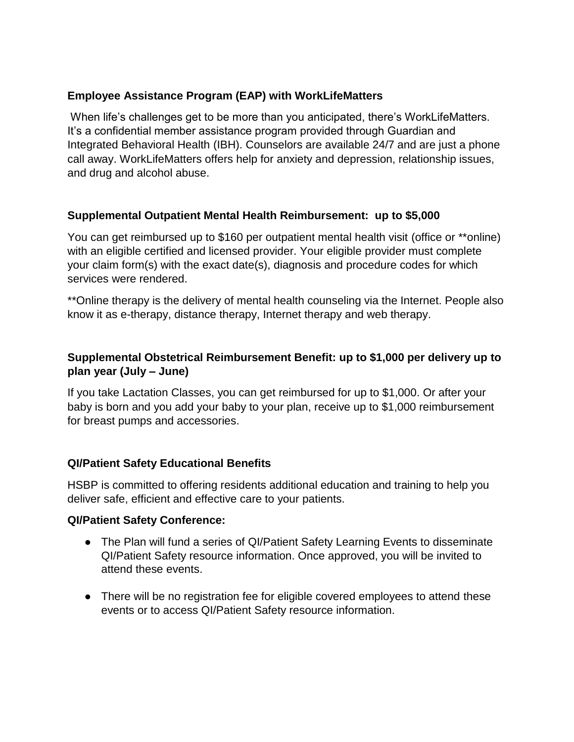### **Employee Assistance Program (EAP) with WorkLifeMatters**

When life's challenges get to be more than you anticipated, there's WorkLifeMatters. It's a confidential member assistance program provided through Guardian and Integrated Behavioral Health (IBH). Counselors are available 24/7 and are just a phone call away. WorkLifeMatters offers help for anxiety and depression, relationship issues, and drug and alcohol abuse.

## **Supplemental Outpatient Mental Health Reimbursement: up to \$5,000**

You can get reimbursed up to \$160 per outpatient mental health visit (office or \*\*online) with an eligible certified and licensed provider. Your eligible provider must complete your claim form(s) with the exact date(s), diagnosis and procedure codes for which services were rendered.

\*\*Online therapy is the delivery of mental health counseling via the Internet. People also know it as e-therapy, distance therapy, Internet therapy and web therapy.

# **Supplemental Obstetrical Reimbursement Benefit: up to \$1,000 per delivery up to plan year (July – June)**

If you take Lactation Classes, you can get reimbursed for up to \$1,000. Or after your baby is born and you add your baby to your plan, receive up to \$1,000 reimbursement for breast pumps and accessories.

### **QI/Patient Safety Educational Benefits**

HSBP is committed to offering residents additional education and training to help you deliver safe, efficient and effective care to your patients.

### **QI/Patient Safety Conference:**

- The Plan will fund a series of QI/Patient Safety Learning Events to disseminate QI/Patient Safety resource information. Once approved, you will be invited to attend these events.
- There will be no registration fee for eligible covered employees to attend these events or to access QI/Patient Safety resource information.